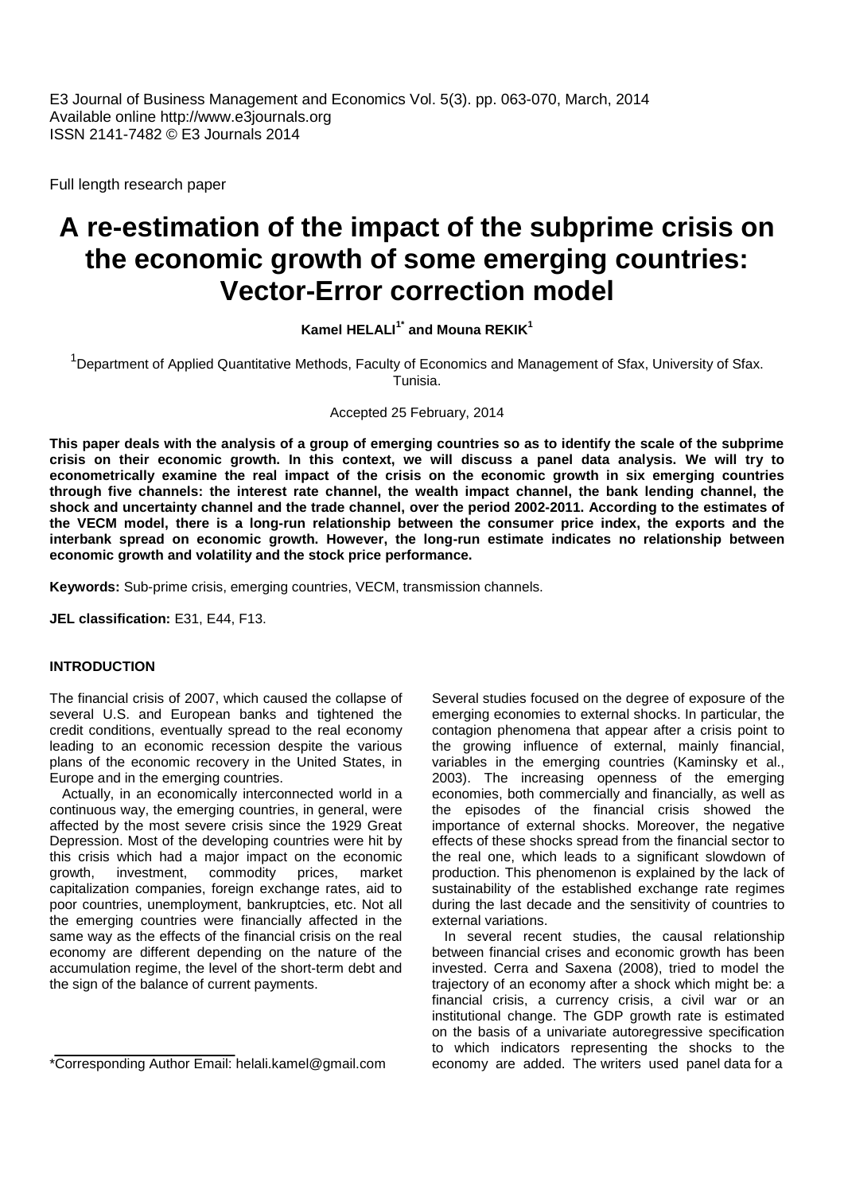E3 Journal of Business Management and Economics Vol. 5(3). pp. 063-070, March, 2014 Available online http://www.e3journals.org ISSN 2141-7482 © E3 Journals 2014

Full length research paper

# **A re-estimation of the impact of the subprime crisis on the economic growth of some emerging countries: Vector-Error correction model**

**Kamel HELALI1\* and Mouna REKIK<sup>1</sup>**

<sup>1</sup>Department of Applied Quantitative Methods, Faculty of Economics and Management of Sfax, University of Sfax. Tunisia.

Accepted 25 February, 2014

**This paper deals with the analysis of a group of emerging countries so as to identify the scale of the subprime crisis on their economic growth. In this context, we will discuss a panel data analysis. We will try to econometrically examine the real impact of the crisis on the economic growth in six emerging countries through five channels: the interest rate channel, the wealth impact channel, the bank lending channel, the shock and uncertainty channel and the trade channel, over the period 2002-2011. According to the estimates of the VECM model, there is a long-run relationship between the consumer price index, the exports and the interbank spread on economic growth. However, the long-run estimate indicates no relationship between economic growth and volatility and the stock price performance.**

**Keywords:** Sub-prime crisis, emerging countries, VECM, transmission channels.

**JEL classification:** E31, E44, F13.

## **INTRODUCTION**

The financial crisis of 2007, which caused the collapse of several U.S. and European banks and tightened the credit conditions, eventually spread to the real economy leading to an economic recession despite the various plans of the economic recovery in the United States, in Europe and in the emerging countries.

Actually, in an economically interconnected world in a continuous way, the emerging countries, in general, were affected by the most severe crisis since the 1929 Great Depression. Most of the developing countries were hit by this crisis which had a major impact on the economic growth, investment, commodity prices, market capitalization companies, foreign exchange rates, aid to poor countries, unemployment, bankruptcies, etc. Not all the emerging countries were financially affected in the same way as the effects of the financial crisis on the real economy are different depending on the nature of the accumulation regime, the level of the short-term debt and the sign of the balance of current payments.

Several studies focused on the degree of exposure of the emerging economies to external shocks. In particular, the contagion phenomena that appear after a crisis point to the growing influence of external, mainly financial, variables in the emerging countries (Kaminsky et al., 2003). The increasing openness of the emerging economies, both commercially and financially, as well as the episodes of the financial crisis showed the importance of external shocks. Moreover, the negative effects of these shocks spread from the financial sector to the real one, which leads to a significant slowdown of production. This phenomenon is explained by the lack of sustainability of the established exchange rate regimes during the last decade and the sensitivity of countries to external variations.

In several recent studies, the causal relationship between financial crises and economic growth has been invested. Cerra and Saxena (2008), tried to model the trajectory of an economy after a shock which might be: a financial crisis, a currency crisis, a civil war or an institutional change. The GDP growth rate is estimated on the basis of a univariate autoregressive specification to which indicators representing the shocks to the economy are added. The writers used panel data for a

<sup>\*</sup>Corresponding Author Email: helali.kamel@gmail.com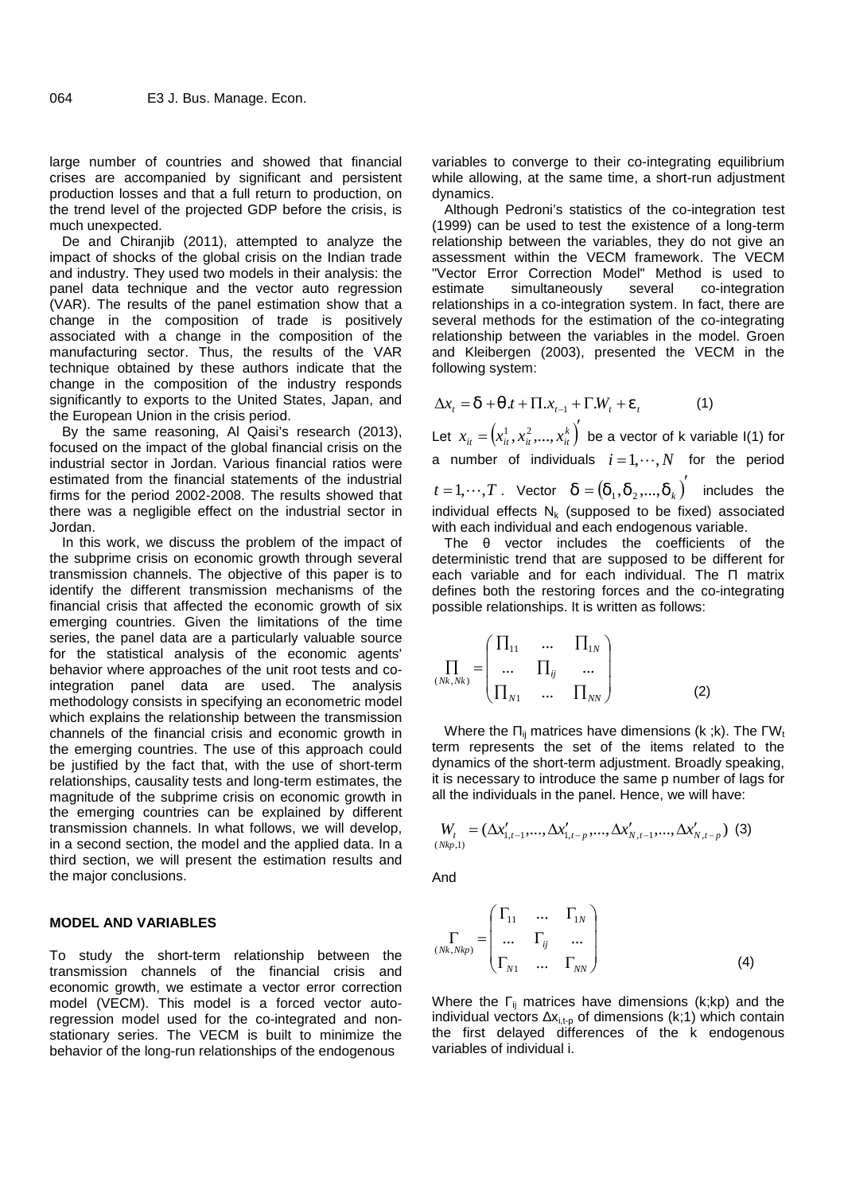large number of countries and showed that financial crises are accompanied by significant and persistent production losses and that a full return to production, on the trend level of the projected GDP before the crisis, is much unexpected.

De and Chiranjib (2011), attempted to analyze the impact of shocks of the global crisis on the Indian trade and industry. They used two models in their analysis: the panel data technique and the vector auto regression (VAR). The results of the panel estimation show that a change in the composition of trade is positively associated with a change in the composition of the manufacturing sector. Thus, the results of the VAR technique obtained by these authors indicate that the change in the composition of the industry responds significantly to exports to the United States, Japan, and the European Union in the crisis period.

By the same reasoning, Al Qaisi's research (2013), focused on the impact of the global financial crisis on the industrial sector in Jordan. Various financial ratios were estimated from the financial statements of the industrial firms for the period 2002-2008. The results showed that there was a negligible effect on the industrial sector in Jordan.

In this work, we discuss the problem of the impact of the subprime crisis on economic growth through several transmission channels. The objective of this paper is to identify the different transmission mechanisms of the financial crisis that affected the economic growth of six emerging countries. Given the limitations of the time series, the panel data are a particularly valuable source for the statistical analysis of the economic agents' behavior where approaches of the unit root tests and cointegration panel data are used. The analysis methodology consists in specifying an econometric model which explains the relationship between the transmission channels of the financial crisis and economic growth in the emerging countries. The use of this approach could be justified by the fact that, with the use of short-term relationships, causality tests and long-term estimates, the magnitude of the subprime crisis on economic growth in the emerging countries can be explained by different transmission channels. In what follows, we will develop, in a second section, the model and the applied data. In a third section, we will present the estimation results and the major conclusions.

### **MODEL AND VARIABLES**

To study the short-term relationship between the transmission channels of the financial crisis and economic growth, we estimate a vector error correction model (VECM). This model is a forced vector autoregression model used for the co-integrated and non stationary series. The VECM is built to minimize the behavior of the long-run relationships of the endogenous

variables to converge to their co-integrating equilibrium while allowing, at the same time, a short-run adjustment dynamics.

Although Pedroni's statistics of the co-integration test (1999) can be used to test the existence of a long-term relationship between the variables, they do not give an assessment within the VECM framework. The VECM "Vector Error Correction Model" Method is used to simultaneously several co-integration relationships in a co-integration system. In fact, there are several methods for the estimation of the co-integrating relationship between the variables in the model. Groen and Kleibergen (2003), presented the VECM in the following system:

$$
\Delta x_t = \mathbf{u} + \mathbf{u} \cdot t + \Pi \cdot x_{t-1} + \Gamma \cdot W_t + \mathbf{V}_t \tag{1}
$$

Let  $x_{it} = (x_{it}^1, x_{it}^2, ..., x_{it}^k)'$  be a vector of k variable I(1) for a number of individuals  $i = 1, \dots, N$  for the period  $t = 1, \cdots, T$  . Vector  $\mathsf{u} = (\mathsf{u}_1, \mathsf{u}_2, ..., \mathsf{u}_k)^\prime$  includes the individual effects  $N_k$  (supposed to be fixed) associated with each individual and each endogenous variable.

The vector includes the coefficients of the deterministic trend that are supposed to be different for each variable and for each individual. The matrix defines both the restoring forces and the co-integrating possible relationships. It is written as follows:

$$
\Pi_{Nk,Nk} = \begin{pmatrix} \Pi_{11} & \cdots & \Pi_{1N} \\ \cdots & \Pi_{ij} & \cdots \\ \Pi_{N1} & \cdots & \Pi_{NN} \end{pmatrix}
$$
 (2)

Where the  $_{ii}$  matrices have dimensions (k ;k). The  $W_t$ term represents the set of the items related to the dynamics of the short-term adjustment. Broadly speaking, it is necessary to introduce the same p number of lags for all the individuals in the panel. Hence, we will have:

$$
W_{t} = (\Delta x'_{1,t-1}, ..., \Delta x'_{1,t-p}, ..., \Delta x'_{N,t-1}, ..., \Delta x'_{N,t-p})
$$
 (3)

And

$$
\Gamma_{(Nk,Nkp)} = \begin{pmatrix} \Gamma_{11} & \dots & \Gamma_{1N} \\ \dots & \Gamma_{ij} & \dots \\ \Gamma_{N1} & \dots & \Gamma_{NN} \end{pmatrix}
$$
 (4)

Where the  $\frac{1}{10}$  matrices have dimensions (k;kp) and the individual vectors  $X_{i,t-p}$  of dimensions (k;1) which contain the first delayed differences of the k endogenous variables of individual i.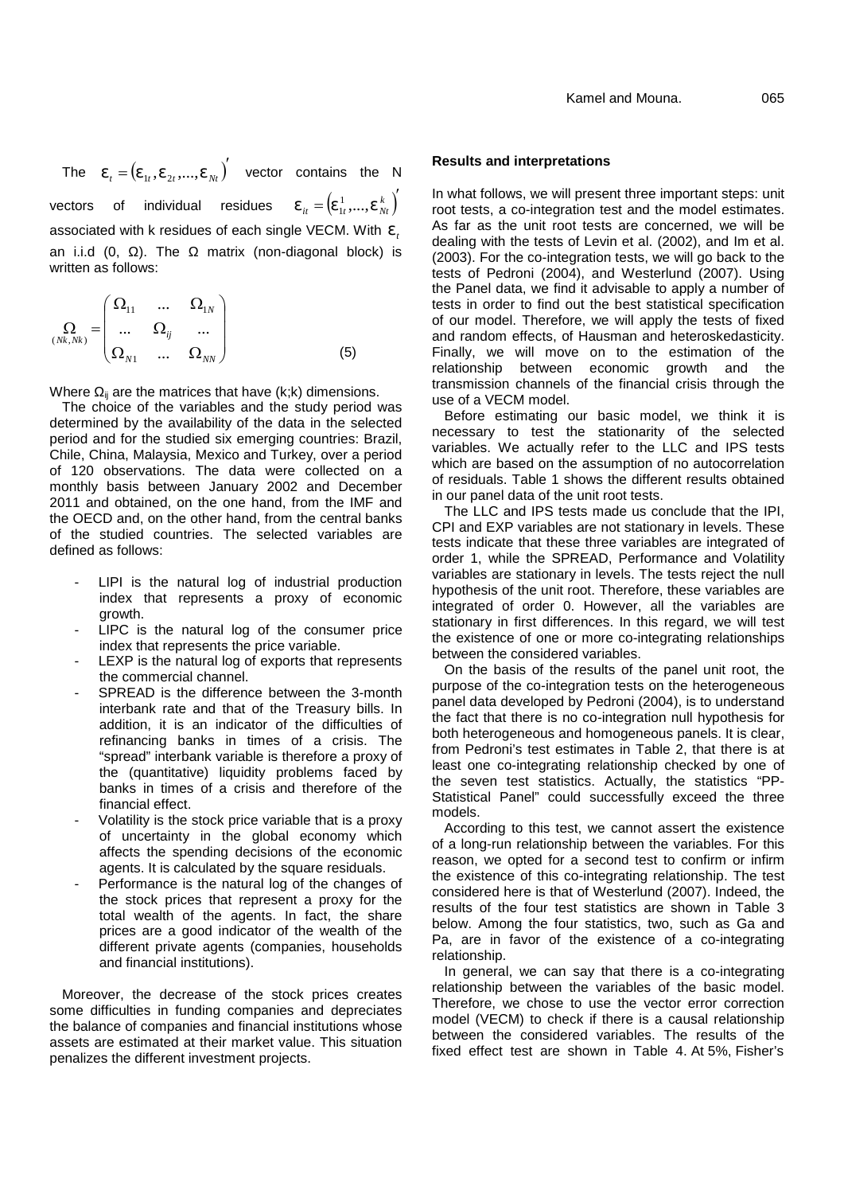The  $V_t = (V_{1t}, V_{2t},...,V_{Nt})'$  vector contains the N **Result**s vectors of individual residues  $V_{it} = (V_{1t}^1, ..., V_{Nt}^k)$  root tests a co-integration test and the i associated with <sup>k</sup> residues of each single VECM. With *<sup>t</sup>* an i.i.d  $(0, 1)$ . The matrix (non-diagonal block) is written as follows:

$$
\Omega_{(Nk,Nk)} = \begin{pmatrix}\n\Omega_{11} & \dots & \Omega_{1N} \\
\dots & \Omega_{ij} & \dots \\
\Omega_{N1} & \dots & \Omega_{NN}\n\end{pmatrix}
$$
\n(5) tests in  
\nand ran  
\nand ran  
\nFinally,

Where  $\mathbf{u}$  are the matrices that have (k;k) dimensions.

The choice of the variables and the study period was determined by the availability of the data in the selected period and for the studied six emerging countries: Brazil, Chile, China, Malaysia, Mexico and Turkey, over a period of 120 observations. The data were collected on a monthly basis between January 2002 and December 2011 and obtained, on the one hand, from the IMF and the OECD and, on the other hand, from the central banks of the studied countries. The selected variables are defined as follows:

- LIPI is the natural log of industrial production index that represents a proxy of economic growth.
- LIPC is the natural log of the consumer price index that represents the price variable.
- LEXP is the natural log of exports that represents the commercial channel.
- SPREAD is the difference between the 3-month interbank rate and that of the Treasury bills. In addition, it is an indicator of the difficulties of refinancing banks in times of a crisis. The "spread" interbank variable is therefore a proxy of the (quantitative) liquidity problems faced by banks in times of a crisis and therefore of the financial effect.
- Volatility is the stock price variable that is a proxy of uncertainty in the global economy which affects the spending decisions of the economic agents. It is calculated by the square residuals.
- Performance is the natural log of the changes of the stock prices that represent a proxy for the total wealth of the agents. In fact, the share prices are a good indicator of the wealth of the different private agents (companies, households and financial institutions).

Moreover, the decrease of the stock prices creates some difficulties in funding companies and depreciates the balance of companies and financial institutions whose assets are estimated at their market value. This situation penalizes the different investment projects.

#### **Results and interpretations**

 $k = (v_1^1, ..., v_{Nt}^k)$  In what follows, we will present three important steps: unit<br>
<u>Foot tests</u> a co-integration test and the model estimates.  $V_{it} = (V_{1t}^1, ..., V_{Nt}^k)$  root tests, a co-integration test and the model estimates.  $\Omega_{_{N1}}$  ...  $\Omega_{_{NN}}$   $)$   $\hspace{1.6cm}$   $\hspace{1.6cm}$   $\hspace{1.6cm}$   $\hspace{1.6cm}$   $\hspace{1.6cm}$   $\hspace{1.6cm}$   $\hspace{1.6cm}$   $\hspace{1.6cm}$   $\hspace{1.6cm}$   $\hspace{1.6cm}$   $\hspace{1.6cm}$   $\hspace{1.6cm}$   $\hspace{1.6cm}$   $\hspace{1.6cm}$   $\hspace{1.6cm}$   $\hspace{1.6cm}$   $\$  $\Omega_{ij}$  ...  $\blacksquare$  $\Omega_{11}$  ...  $\Omega_{1N}$   $\Big)$  tests in order to find out the best statistical specification As far as the unit root tests are concerned, we will be dealing with the tests of Levin et al. (2002), and Im et al. (2003). For the co-integration tests, we will go back to the tests of Pedroni (2004), and Westerlund (2007). Using the Panel data, we find it advisable to apply a number of of our model. Therefore, we will apply the tests of fixed relationship between economic growth and the transmission channels of the financial crisis through the use of a VECM model.

> Before estimating our basic model, we think it is necessary to test the stationarity of the selected variables. We actually refer to the LLC and IPS tests which are based on the assumption of no autocorrelation of residuals. Table 1 shows the different results obtained in our panel data of the unit root tests.

> The LLC and IPS tests made us conclude that the IPI, CPI and EXP variables are not stationary in levels. These tests indicate that these three variables are integrated of order 1, while the SPREAD, Performance and Volatility variables are stationary in levels. The tests reject the null hypothesis of the unit root. Therefore, these variables are integrated of order 0. However, all the variables are stationary in first differences. In this regard, we will test the existence of one or more co-integrating relationships between the considered variables.

> On the basis of the results of the panel unit root, the purpose of the co-integration tests on the heterogeneous panel data developed by Pedroni (2004), is to understand the fact that there is no co-integration null hypothesis for both heterogeneous and homogeneous panels. It is clear, from Pedroni's test estimates in Table 2, that there is at least one co-integrating relationship checked by one of the seven test statistics. Actually, the statistics "PP- Statistical Panel" could successfully exceed the three models.

> According to this test, we cannot assert the existence of a long-run relationship between the variables. For this reason, we opted for a second test to confirm or infirm the existence of this co-integrating relationship. The test considered here is that of Westerlund (2007). Indeed, the results of the four test statistics are shown in Table 3 below. Among the four statistics, two, such as Ga and Pa, are in favor of the existence of a co-integrating relationship.

> In general, we can say that there is a co-integrating relationship between the variables of the basic model. Therefore, we chose to use the vector error correction model (VECM) to check if there is a causal relationship between the considered variables. The results of the fixed effect test are shown in Table 4. At 5%, Fisher's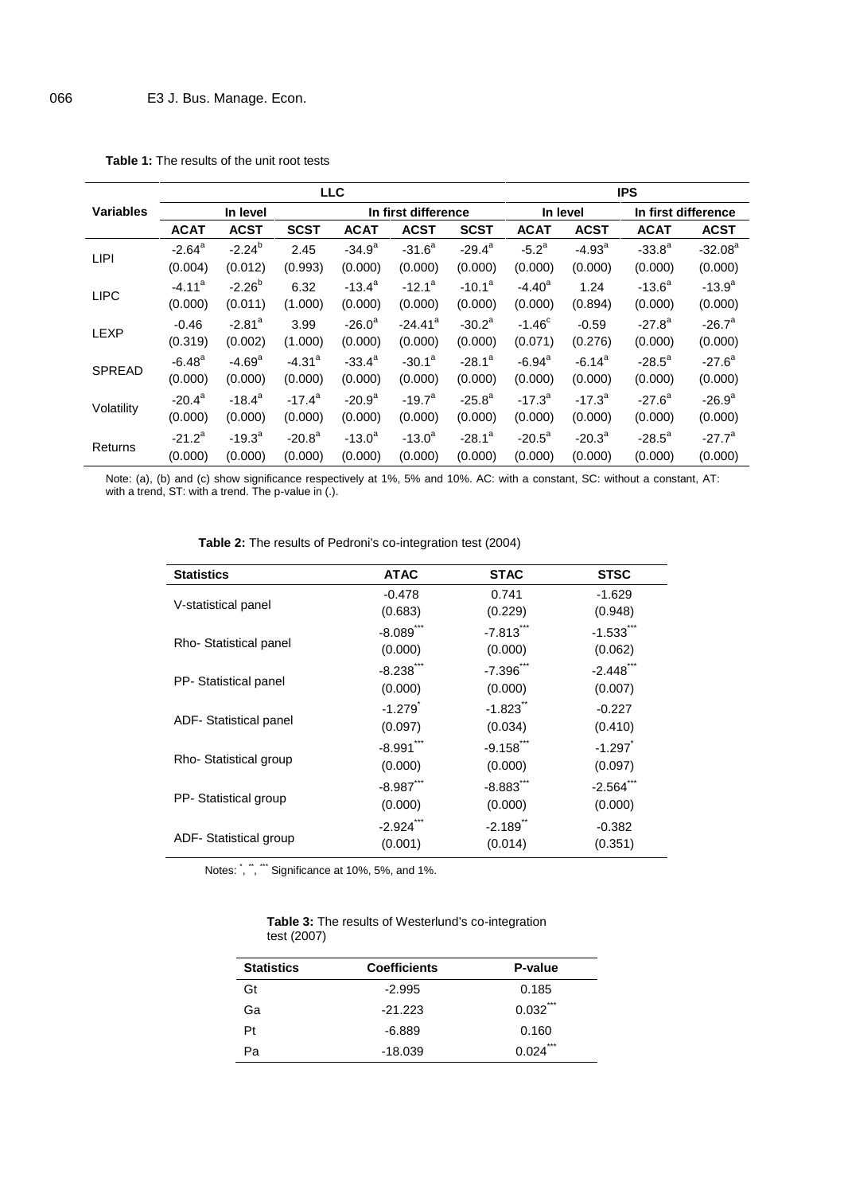|                  |                      |                      |                      | <b>LLC</b>      |                       |                 |                      |             | <b>IPS</b>          |             |
|------------------|----------------------|----------------------|----------------------|-----------------|-----------------------|-----------------|----------------------|-------------|---------------------|-------------|
| <b>Variables</b> |                      | In level             |                      |                 | In first difference   |                 | In level             |             | In first difference |             |
|                  | <b>ACAT</b>          | <b>ACST</b>          | <b>SCST</b>          | <b>ACAT</b>     | <b>ACST</b>           | <b>SCST</b>     | <b>ACAT</b>          | <b>ACST</b> | <b>ACAT</b>         | <b>ACST</b> |
| <b>LIPI</b>      | $-2.64^{\circ}$      | $-2.24^{b}$          | 2.45                 | $-34.9^{a}$     | $-31.6^a$             | $-29.4^a$       | $-5.2^a$             | $-4.93a$    | $-33.8^{a}$         | $-32.08a$   |
|                  | (0.004)              | (0.012)              | (0.993)              | (0.000)         | (0.000)               | (0.000)         | (0.000)              | (0.000)     | (0.000)             | (0.000)     |
|                  | $-4.11a$             | $-2.26^{b}$          | 6.32                 | $-13.4^a$       | $-12.1^a$             | $-10.1^a$       | $-4.40a$             | 1.24        | $-13.6^a$           | $-13.9^{a}$ |
| <b>LIPC</b>      | (0.000)              | (0.011)              | (1.000)              | (0.000)         | (0.000)               | (0.000)         | (0.000)              | (0.894)     | (0.000)             | (0.000)     |
|                  | $-0.46$              | $-2.81$ <sup>a</sup> | 3.99                 | $-26.0^a$       | $-24.41$ <sup>a</sup> | $-30.2^a$       | $-1.46^{\circ}$      | $-0.59$     | $-27.8^a$           | $-26.7^a$   |
| <b>LEXP</b>      | (0.319)              | (0.002)              | (1.000)              | (0.000)         | (0.000)               | (0.000)         | (0.071)              | (0.276)     | (0.000)             | (0.000)     |
|                  | $-6.48$ <sup>a</sup> | $-4.69^a$            | $-4.31$ <sup>a</sup> | $-33.4^{\circ}$ | $-30.1^a$             | $-28.1^a$       | $-6.94$ <sup>a</sup> | $-6.14^a$   | $-28.5^a$           | $-27.6^a$   |
| <b>SPREAD</b>    | (0.000)              | (0.000)              | (0.000)              | (0.000)         | (0.000)               | (0.000)         | (0.000)              | (0.000)     | (0.000)             | (0.000)     |
|                  | $-20.4^{\circ}$      | $-18.4^a$            | $-17.4^a$            | $-20.9^a$       | $-19.7^a$             | $-25.8^{\circ}$ | $-17.3^{a}$          | $-17.3^{a}$ | $-27.6^{\circ}$     | $-26.9^{a}$ |
| Volatility       | (0.000)              | (0.000)              | (0.000)              | (0.000)         | (0.000)               | (0.000)         | (0.000)              | (0.000)     | (0.000)             | (0.000)     |
|                  | $-21.2^a$            | $-19.3^a$            | $-20.8^{\circ}$      | $-13.0^a$       | $-13.0^a$             | $-28.1^a$       | $-20.5^{\circ}$      | $-20.3^a$   | $-28.5^a$           | $-27.7^a$   |
| Returns          | (0.000)              | (0.000)              | (0.000)              | (0.000)         | (0.000)               | (0.000)         | (0.000)              | (0.000)     | (0.000)             | (0.000)     |

**Table 1:** The results of the unit root tests

Note: (a), (b) and (c) show significance respectively at 1%, 5% and 10%. AC: with a constant, SC: without a constant, AT: with a trend, ST: with a trend. The p-value in (.).

| <b>Statistics</b>      | <b>ATAC</b>            | <b>STAC</b>             | <b>STSC</b>             |
|------------------------|------------------------|-------------------------|-------------------------|
|                        | $-0.478$               | 0.741                   | $-1.629$                |
| V-statistical panel    | (0.683)                | (0.229)                 | (0.948)                 |
|                        | $-8.089$ **            | $-7.813$ <sup>***</sup> | $-1.533$                |
| Rho-Statistical panel  | (0.000)                | (0.000)                 | (0.062)                 |
|                        | $-8.238$               | $-7.396$ ***            | $-2.448$ <sup>***</sup> |
| PP- Statistical panel  | (0.000)                | (0.000)                 | (0.007)                 |
|                        | $-1.279$ <sup>*</sup>  | $-1.823$                | $-0.227$                |
| ADF- Statistical panel | (0.097)                | (0.034)                 | (0.410)                 |
|                        | $-8.991$ <sup>**</sup> | $-9.158$ ***            | $-1.297$                |
| Rho-Statistical group  | (0.000)                | (0.000)                 | (0.097)                 |
|                        | $-8.987***$            | $-8.883$ ***            | $-2.564$ <sup>-1</sup>  |
| PP- Statistical group  | (0.000)                | (0.000)                 | (0.000)                 |
|                        | $-2.924$ <sup>*</sup>  | $-2.189$                | $-0.382$                |
| ADF- Statistical group | (0.001)                | (0.014)                 | (0.351)                 |
|                        |                        |                         |                         |

| <b>Table 2:</b> The results of Pedroni's co-integration test (2004) |
|---------------------------------------------------------------------|
|---------------------------------------------------------------------|

Notes: `, ``, ``` Significance at 10%, 5%, and 1%.

| <b>Table 3:</b> The results of Westerlund's co-integration |  |
|------------------------------------------------------------|--|
| test (2007)                                                |  |

| <b>Statistics</b> | <b>Coefficients</b> | P-value      |
|-------------------|---------------------|--------------|
| Gt                | $-2.995$            | 0.185        |
| Ga                | $-21.223$           | ***<br>0.032 |
| Pt                | $-6.889$            | 0.160        |
| Ра                | $-18.039$           | ***<br>0.024 |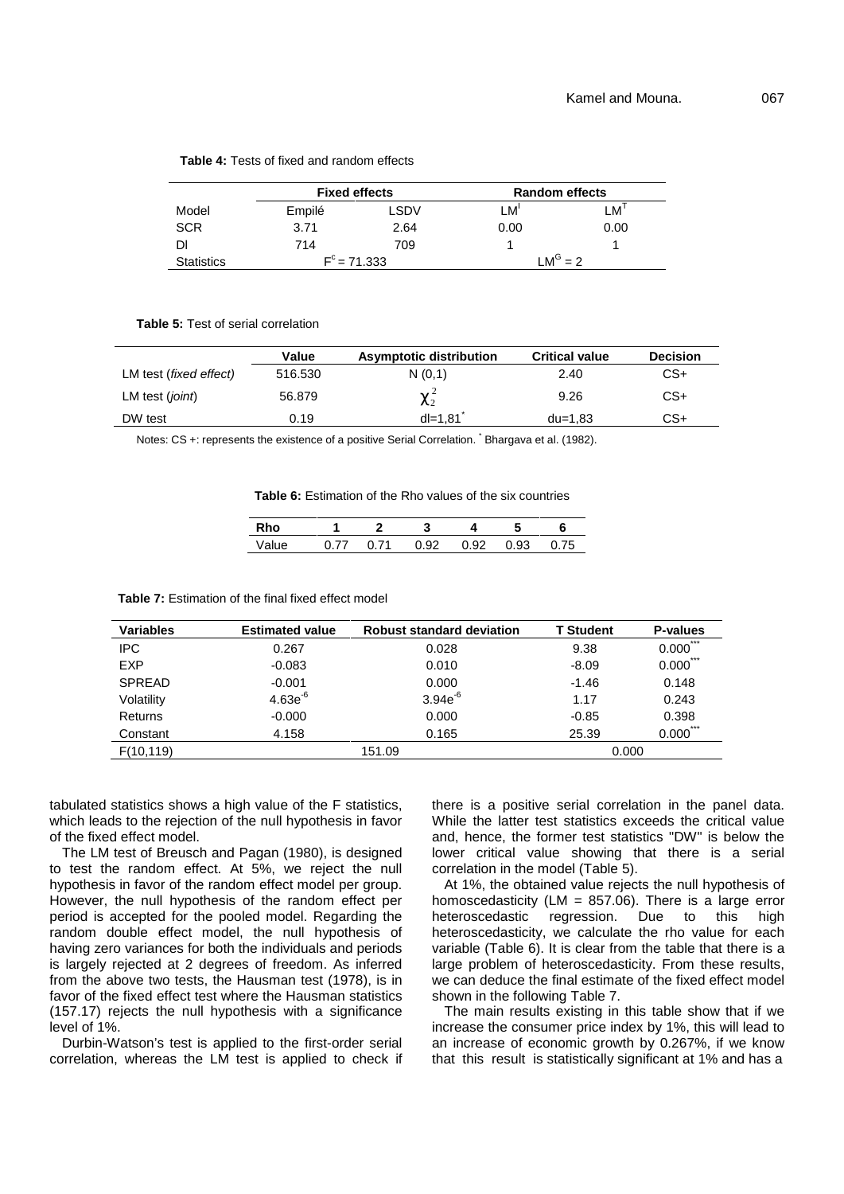|                   | <b>Fixed effects</b> |                | <b>Random effects</b> |      |  |
|-------------------|----------------------|----------------|-----------------------|------|--|
| Model             | Empilé               | LSDV           | LM'                   | ∟M'  |  |
| <b>SCR</b>        | 3.71                 | 2.64           | 0.00                  | 0.00 |  |
| Dl                | 714                  | 709            |                       |      |  |
| <b>Statistics</b> |                      | $F^c = 71.333$ | $M^G = 2$             |      |  |

#### **Table 4:** Tests of fixed and random effects

**Table 5:** Test of serial correlation

|                                 | Value   | Asymptotic distribution | <b>Critical value</b> | <b>Decision</b> |
|---------------------------------|---------|-------------------------|-----------------------|-----------------|
| LM test ( <i>fixed effect</i> ) | 516.530 | N(0,1)                  | 2.40                  | CS+             |
| LM test (joint)                 | 56.879  | $t^2$                   | 9.26                  | $CS+$           |
| DW test                         | 0.19    | $dl = 1.81$             | $du = 1.83$           | CS+             |

Notes: CS +: represents the existence of a positive Serial Correlation. Bhargava et al. (1982).

**Table 6:** Estimation of the Rho values of the six countries

| <b>Rho</b>                          |  |  |  |
|-------------------------------------|--|--|--|
| Value 0.77 0.71 0.92 0.92 0.93 0.75 |  |  |  |

| <b>Table 7:</b> Estimation of the final fixed effect model |  |
|------------------------------------------------------------|--|
|------------------------------------------------------------|--|

| <b>Variables</b> | <b>Estimated value</b> | <b>Robust standard deviation</b> | <b>T</b> Student | P-values     |
|------------------|------------------------|----------------------------------|------------------|--------------|
| <b>IPC</b>       | 0.267                  | 0.028                            | 9.38             | ***<br>0.000 |
| <b>EXP</b>       | $-0.083$               | 0.010                            | $-8.09$          | ***<br>0.000 |
| <b>SPREAD</b>    | $-0.001$               | 0.000                            | $-1.46$          | 0.148        |
| Volatility       | $4.63e^{-6}$           | $3.94e^{-6}$                     | 1.17             | 0.243        |
| Returns          | $-0.000$               | 0.000                            | $-0.85$          | 0.398        |
| Constant         | 4.158                  | 0.165                            | 25.39            | ***<br>0.000 |
| F(10, 119)       |                        | 151.09                           | 0.000            |              |

tabulated statistics shows a high value of the F statistics, which leads to the rejection of the null hypothesis in favor of the fixed effect model.

The LM test of Breusch and Pagan (1980), is designed to test the random effect. At 5%, we reject the null hypothesis in favor of the random effect model per group. However, the null hypothesis of the random effect per period is accepted for the pooled model. Regarding the heteroscedastic random double effect model, the null hypothesis of having zero variances for both the individuals and periods is largely rejected at 2 degrees of freedom. As inferred from the above two tests, the Hausman test (1978), is in favor of the fixed effect test where the Hausman statistics (157.17) rejects the null hypothesis with a significance level of 1%.

Durbin-Watson's test is applied to the first-order serial correlation, whereas the LM test is applied to check if there is a positive serial correlation in the panel data. While the latter test statistics exceeds the critical value and, hence, the former test statistics "DW" is below the lower critical value showing that there is a serial correlation in the model (Table 5).

At 1%, the obtained value rejects the null hypothesis of homoscedasticity (LM =  $857.06$ ). There is a large error heteroscedastic regression. Due to this high regression. Due to this high heteroscedasticity, we calculate the rho value for each variable (Table 6). It is clear from the table that there is a large problem of heteroscedasticity. From these results, we can deduce the final estimate of the fixed effect model shown in the following Table 7.

The main results existing in this table show that if we increase the consumer price index by 1%, this will lead to an increase of economic growth by 0.267%, if we know that this result is statistically significant at 1% and has a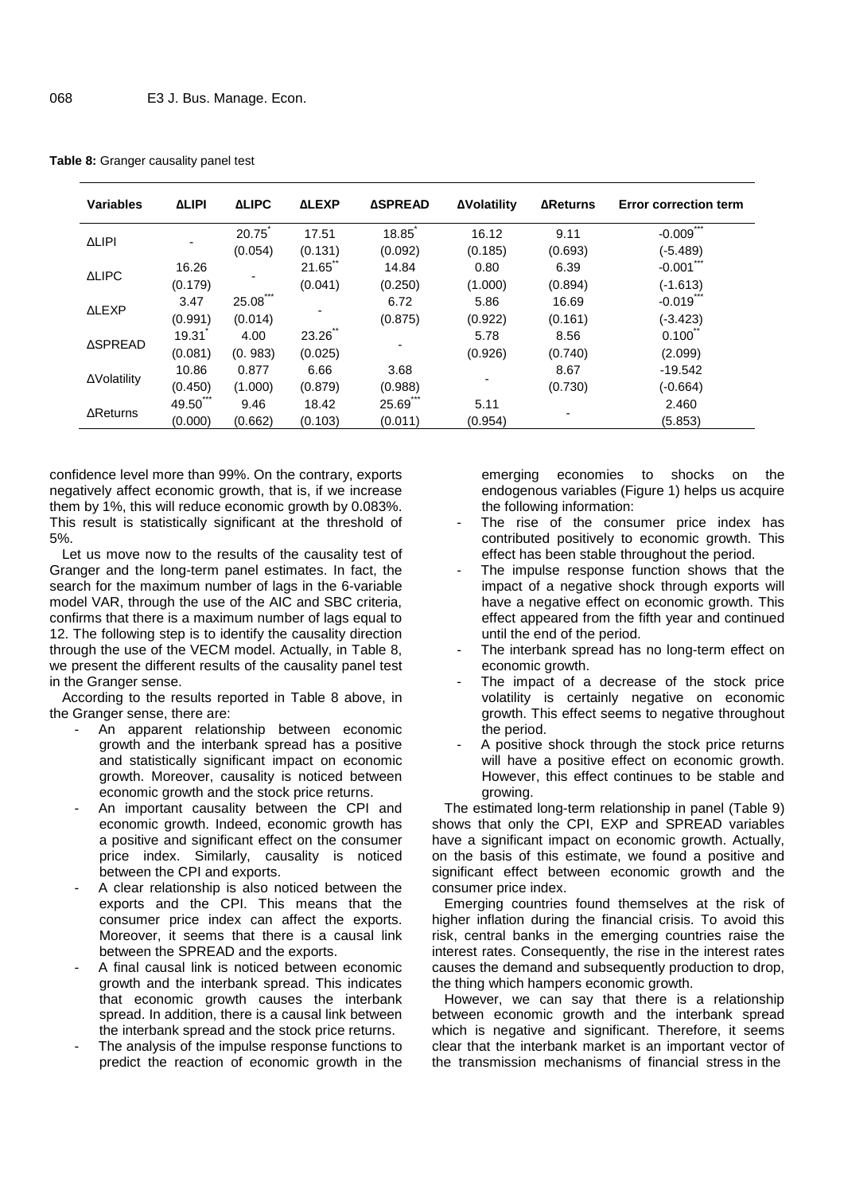|  |  |  | Table 8: Granger causality panel test |  |
|--|--|--|---------------------------------------|--|
|--|--|--|---------------------------------------|--|

| <b>Variables</b> | <b>LIPI</b> | <b>LIPC</b>  | <b>LEXP</b> | <b>SPREAD</b> | <b>Volatility</b> | <b>Returns</b> | <b>Error correction term</b> |
|------------------|-------------|--------------|-------------|---------------|-------------------|----------------|------------------------------|
|                  |             | 20.75        | 17.51       | 18.85         | 16.12             | 9.11           | $***$<br>$-0.009$            |
| <b>LIPI</b>      |             | (0.054)      | (0.131)     | (0.092)       | (0.185)           | (0.693)        | $(-5.489)$                   |
|                  | 16.26       |              | 21.65       | 14.84         | 0.80              | 6.39           | $-0.001$                     |
| <b>LIPC</b>      | (0.179)     |              | (0.041)     | (0.250)       | (1.000)           | (0.894)        | $(-1.613)$                   |
|                  | 3.47        | ***<br>25.08 |             | 6.72          | 5.86              | 16.69          | $-0.019$                     |
| <b>LEXP</b>      | (0.991)     | (0.014)      |             | (0.875)       | (0.922)           | (0.161)        | $(-3.423)$                   |
|                  | 19.31       | 4.00         | 23.26       |               | 5.78              | 8.56           | $0.100^{-}$                  |
| <b>SPREAD</b>    | (0.081)     | (0.983)      | (0.025)     |               | (0.926)           | (0.740)        | (2.099)                      |
|                  | 10.86       | 0.877        | 6.66        | 3.68          |                   | 8.67           | $-19.542$                    |
| Volatility       | (0.450)     | (1.000)      | (0.879)     | (0.988)       |                   | (0.730)        | $(-0.664)$                   |
|                  | 49.50       | 9.46         | 18.42       | 25.69         | 5.11              |                | 2.460                        |
| Returns          | (0.000)     | (0.662)      | (0.103)     | (0.011)       | (0.954)           |                | (5.853)                      |

confidence level more than 99%. On the contrary, exports negatively affect economic growth, that is, if we increase them by 1%, this will reduce economic growth by 0.083%. This result is statistically significant at the threshold of 5%.

Let us move now to the results of the causality test of Granger and the long-term panel estimates. In fact, the search for the maximum number of lags in the 6-variable model VAR, through the use of the AIC and SBC criteria, confirms that there is a maximum number of lags equal to 12. The following step is to identify the causality direction through the use of the VECM model. Actually, in Table 8, we present the different results of the causality panel test in the Granger sense.

According to the results reported in Table 8 above, in the Granger sense, there are:

- An apparent relationship between economic growth and the interbank spread has a positive and statistically significant impact on economic growth. Moreover, causality is noticed between economic growth and the stock price returns.
- An important causality between the CPI and economic growth. Indeed, economic growth has a positive and significant effect on the consumer price index. Similarly, causality is noticed between the CPI and exports.
- A clear relationship is also noticed between the exports and the CPI. This means that the consumer price index can affect the exports. Moreover, it seems that there is a causal link between the SPREAD and the exports.
- A final causal link is noticed between economic growth and the interbank spread. This indicates that economic growth causes the interbank spread. In addition, there is a causal link between the interbank spread and the stock price returns.
- The analysis of the impulse response functions to predict the reaction of economic growth in the

emerging economies to shocks on the endogenous variables (Figure 1) helps us acquire the following information:

- The rise of the consumer price index has contributed positively to economic growth. This effect has been stable throughout the period.
- The impulse response function shows that the impact of a negative shock through exports will have a negative effect on economic growth. This effect appeared from the fifth year and continued until the end of the period.
- The interbank spread has no long-term effect on economic growth.
- The impact of a decrease of the stock price volatility is certainly negative on economic growth. This effect seems to negative throughout the period.
- A positive shock through the stock price returns will have a positive effect on economic growth. However, this effect continues to be stable and growing.

The estimated long-term relationship in panel (Table 9) shows that only the CPI, EXP and SPREAD variables have a significant impact on economic growth. Actually, on the basis of this estimate, we found a positive and significant effect between economic growth and the consumer price index.

Emerging countries found themselves at the risk of higher inflation during the financial crisis. To avoid this risk, central banks in the emerging countries raise the interest rates. Consequently, the rise in the interest rates causes the demand and subsequently production to drop, the thing which hampers economic growth.

However, we can say that there is a relationship between economic growth and the interbank spread which is negative and significant. Therefore, it seems clear that the interbank market is an important vector of the transmission mechanisms of financial stress in the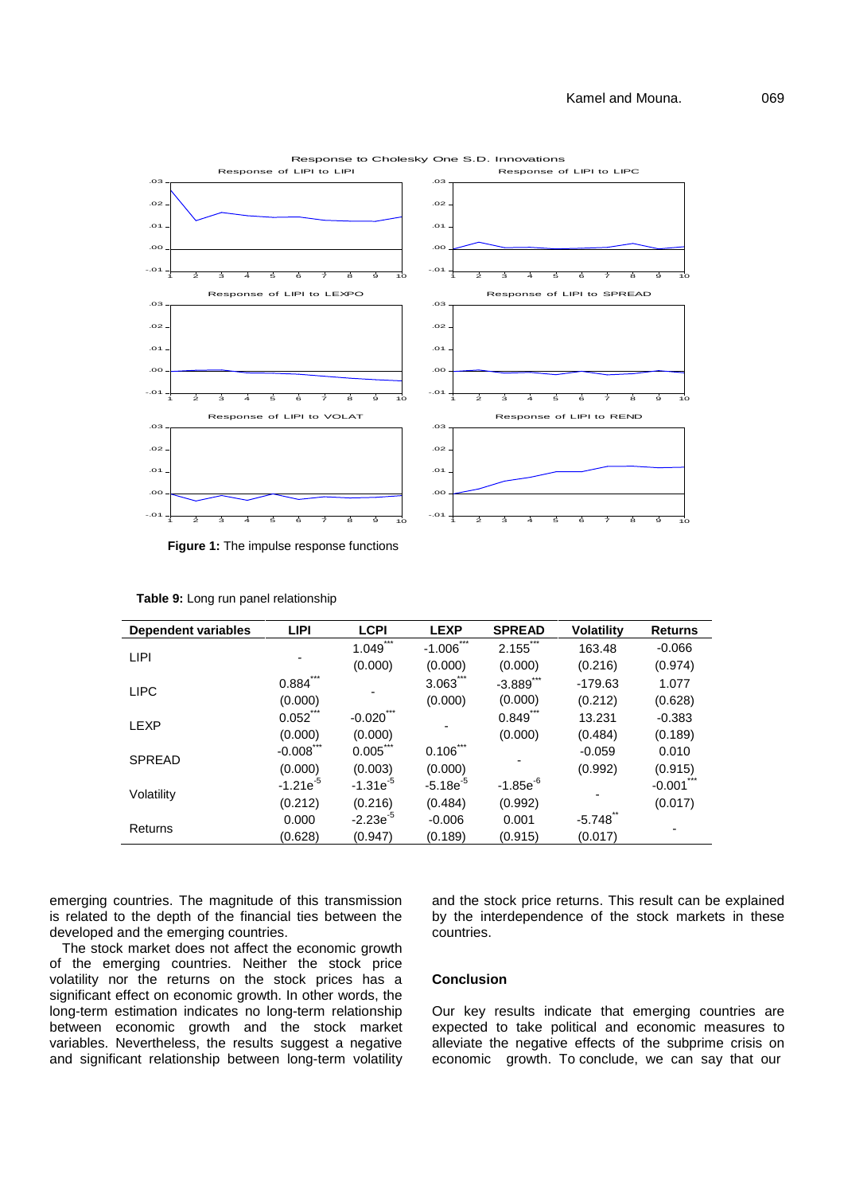

**Figure 1:** The impulse response functions

| Dependent variables | <b>LIPI</b>    | <b>LCPI</b>    | <b>LEXP</b>       | <b>SPREAD</b>            | <b>Volatility</b> | <b>Returns</b> |
|---------------------|----------------|----------------|-------------------|--------------------------|-------------------|----------------|
| LIPI                |                | $***$<br>1.049 | $***$<br>$-1.006$ | $***$<br>2.155           | 163.48            | $-0.066$       |
|                     |                | (0.000)        | (0.000)           | (0.000)                  | (0.216)           | (0.974)        |
| <b>LIPC</b>         | $***$<br>0.884 |                | 3.063             | $-3.889$ <sup>***</sup>  | $-179.63$         | 1.077          |
|                     | (0.000)        |                | (0.000)           | (0.000)                  | (0.212)           | (0.628)        |
| <b>LEXP</b>         | 0.052          | $-0.020$       |                   | 0.849                    | 13.231            | $-0.383$       |
|                     | (0.000)        | (0.000)        |                   | (0.000)                  | (0.484)           | (0.189)        |
| <b>SPREAD</b>       | $-0.008$ ***   | $0.005$ ***    | $0.106$ ***       |                          | $-0.059$          | 0.010          |
|                     | (0.000)        | (0.003)        | (0.000)           |                          | (0.992)           | (0.915)        |
| Volatility          | $-1.21e^{-5}$  | $-1.31e^{-5}$  | $-5.18e^{-5}$     | $-1.85e^{-6}$<br>(0.992) |                   | $-0.001$       |
|                     | (0.212)        | (0.216)        | (0.484)           |                          |                   | (0.017)        |
| Returns             | 0.000          | $-2.23e^{-5}$  | $-0.006$          | 0.001                    | $-5.748$          |                |
|                     | (0.628)        | (0.947)        | (0.189)           | (0.915)                  | (0.017)           |                |

**Table 9:** Long run panel relationship

emerging countries. The magnitude of this transmission is related to the depth of the financial ties between the developed and the emerging countries.

The stock market does not affect the economic growth of the emerging countries. Neither the stock price volatility nor the returns on the stock prices has a significant effect on economic growth. In other words, the long-term estimation indicates no long-term relationship between economic growth and the stock market variables. Nevertheless, the results suggest a negative and significant relationship between long-term volatility

and the stock price returns. This result can be explained by the interdependence of the stock markets in these countries.

#### **Conclusion**

Our key results indicate that emerging countries are expected to take political and economic measures to alleviate the negative effects of the subprime crisis on economic growth. To conclude, we can say that our